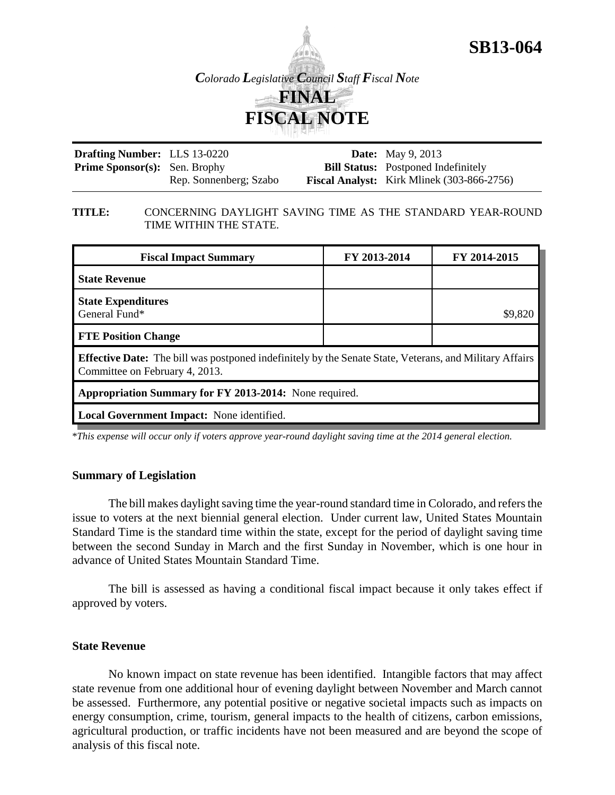



**Drafting Number:** LLS 13-0220 Prime Sponsor(s): Sen. Brophy Rep. Sonnenberg; Szabo **Date:** May 9, 2013 **Bill Status:** Postponed Indefinitely **Fiscal Analyst:** Kirk Mlinek (303-866-2756)

#### **TITLE:** CONCERNING DAYLIGHT SAVING TIME AS THE STANDARD YEAR-ROUND TIME WITHIN THE STATE.

| <b>Fiscal Impact Summary</b>                                                                                                                     | FY 2013-2014 | FY 2014-2015 |  |
|--------------------------------------------------------------------------------------------------------------------------------------------------|--------------|--------------|--|
| <b>State Revenue</b>                                                                                                                             |              |              |  |
| <b>State Expenditures</b><br>General Fund*                                                                                                       |              | \$9,820      |  |
| <b>FTE Position Change</b>                                                                                                                       |              |              |  |
| <b>Effective Date:</b> The bill was postponed indefinitely by the Senate State, Veterans, and Military Affairs<br>Committee on February 4, 2013. |              |              |  |
| Appropriation Summary for FY 2013-2014: None required.                                                                                           |              |              |  |
| Local Government Impact: None identified.                                                                                                        |              |              |  |

\**This expense will occur only if voters approve year-round daylight saving time at the 2014 general election.*

## **Summary of Legislation**

The bill makes daylight saving time the year-round standard time in Colorado, and refers the issue to voters at the next biennial general election. Under current law, United States Mountain Standard Time is the standard time within the state, except for the period of daylight saving time between the second Sunday in March and the first Sunday in November, which is one hour in advance of United States Mountain Standard Time.

The bill is assessed as having a conditional fiscal impact because it only takes effect if approved by voters.

## **State Revenue**

No known impact on state revenue has been identified. Intangible factors that may affect state revenue from one additional hour of evening daylight between November and March cannot be assessed. Furthermore, any potential positive or negative societal impacts such as impacts on energy consumption, crime, tourism, general impacts to the health of citizens, carbon emissions, agricultural production, or traffic incidents have not been measured and are beyond the scope of analysis of this fiscal note.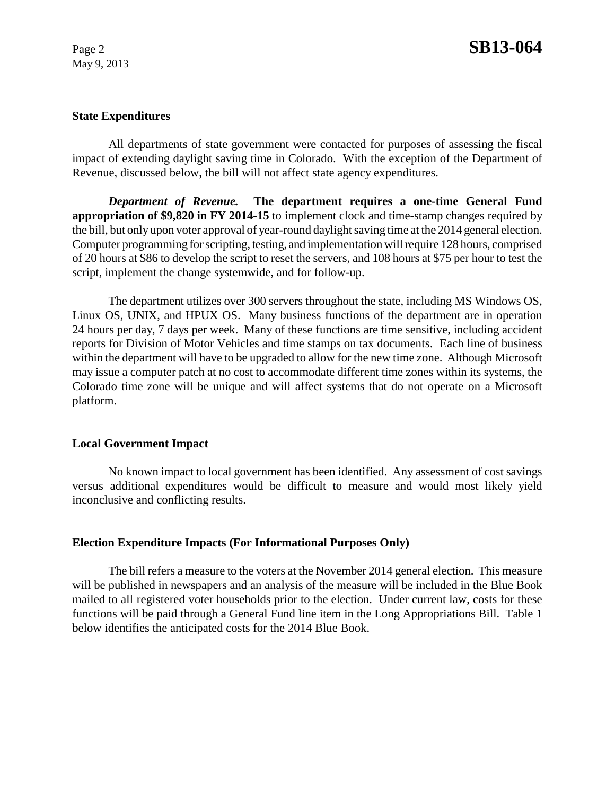May 9, 2013

## **State Expenditures**

All departments of state government were contacted for purposes of assessing the fiscal impact of extending daylight saving time in Colorado. With the exception of the Department of Revenue, discussed below, the bill will not affect state agency expenditures.

*Department of Revenue.* **The department requires a one-time General Fund appropriation of \$9,820 in FY 2014-15** to implement clock and time-stamp changes required by the bill, but only upon voter approval of year-round daylight saving time at the 2014 general election. Computer programming for scripting, testing, and implementation will require 128 hours, comprised of 20 hours at \$86 to develop the script to reset the servers, and 108 hours at \$75 per hour to test the script, implement the change systemwide, and for follow-up.

The department utilizes over 300 servers throughout the state, including MS Windows OS, Linux OS, UNIX, and HPUX OS. Many business functions of the department are in operation 24 hours per day, 7 days per week. Many of these functions are time sensitive, including accident reports for Division of Motor Vehicles and time stamps on tax documents. Each line of business within the department will have to be upgraded to allow for the new time zone. Although Microsoft may issue a computer patch at no cost to accommodate different time zones within its systems, the Colorado time zone will be unique and will affect systems that do not operate on a Microsoft platform.

## **Local Government Impact**

No known impact to local government has been identified. Any assessment of cost savings versus additional expenditures would be difficult to measure and would most likely yield inconclusive and conflicting results.

## **Election Expenditure Impacts (For Informational Purposes Only)**

The bill refers a measure to the voters at the November 2014 general election. This measure will be published in newspapers and an analysis of the measure will be included in the Blue Book mailed to all registered voter households prior to the election. Under current law, costs for these functions will be paid through a General Fund line item in the Long Appropriations Bill. Table 1 below identifies the anticipated costs for the 2014 Blue Book.